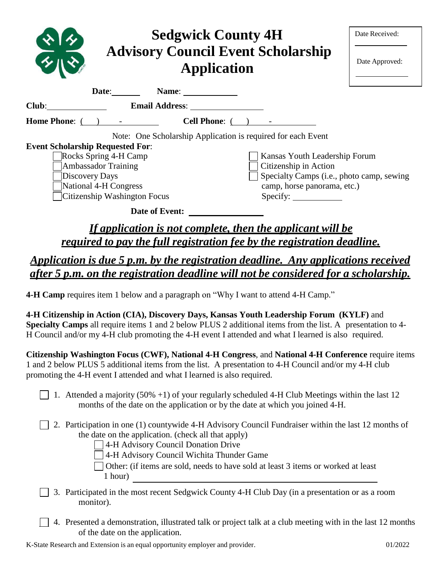| <b>Sedgwick County 4H</b><br><b>Advisory Council Event Scholarship</b><br><b>Application</b>                                                                                                                                   | Date Received:<br>Date Approved:          |  |
|--------------------------------------------------------------------------------------------------------------------------------------------------------------------------------------------------------------------------------|-------------------------------------------|--|
| Date: <u>Name: Name:</u>                                                                                                                                                                                                       |                                           |  |
| Club: the contract of the contract of the contract of the contract of the contract of the contract of the contract of the contract of the contract of the contract of the contract of the contract of the contract of the cont |                                           |  |
| Home Phone: ( ) -<br><b>Cell Phone:</b> $($ $)$ $-$                                                                                                                                                                            |                                           |  |
| Note: One Scholarship Application is required for each Event                                                                                                                                                                   |                                           |  |
| <b>Event Scholarship Requested For:</b>                                                                                                                                                                                        |                                           |  |
| Rocks Spring 4-H Camp<br>Kansas Youth Leadership Forum                                                                                                                                                                         |                                           |  |
| <b>Ambassador Training</b><br>Citizenship in Action                                                                                                                                                                            |                                           |  |
| Discovery Days                                                                                                                                                                                                                 | Specialty Camps (i.e., photo camp, sewing |  |
| National 4-H Congress<br>camp, horse panorama, etc.)                                                                                                                                                                           |                                           |  |
| Citizenship Washington Focus<br>Specify:                                                                                                                                                                                       |                                           |  |
| <b>Date of Event:</b>                                                                                                                                                                                                          |                                           |  |
| If application is not complete, then the applicant will be                                                                                                                                                                     |                                           |  |

*required to pay the full registration fee by the registration deadline.*

*Application is due 5 p.m. by the registration deadline. Any applications received after 5 p.m. on the registration deadline will not be considered for a scholarship.*

**4-H Camp** requires item 1 below and a paragraph on "Why I want to attend 4-H Camp."

**4-H Citizenship in Action (CIA), Discovery Days, Kansas Youth Leadership Forum (KYLF)** and **Specialty Camps** all require items 1 and 2 below PLUS 2 additional items from the list. A presentation to 4- H Council and/or my 4-H club promoting the 4-H event I attended and what I learned is also required.

**Citizenship Washington Focus (CWF), National 4-H Congress**, and **National 4-H Conference** require items 1 and 2 below PLUS 5 additional items from the list. A presentation to 4-H Council and/or my 4-H club promoting the 4-H event I attended and what I learned is also required.

- 1. Attended a majority (50% +1) of your regularly scheduled 4-H Club Meetings within the last 12 months of the date on the application or by the date at which you joined 4-H.
- 2. Participation in one (1) countywide 4-H Advisory Council Fundraiser within the last 12 months of the date on the application. (check all that apply)
	- 4-H Advisory Council Donation Drive
	- 4-H Advisory Council Wichita Thunder Game
	- Other: (if items are sold, needs to have sold at least 3 items or worked at least 1 hour)
- 3. Participated in the most recent Sedgwick County 4-H Club Day (in a presentation or as a room monitor).
- 4. Presented a demonstration, illustrated talk or project talk at a club meeting with in the last 12 months of the date on the application.

K-State Research and Extension is an equal opportunity employer and provider. 01/2022